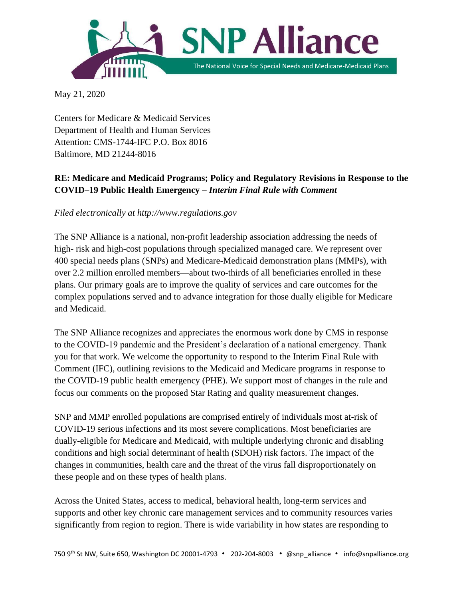

May 21, 2020

Centers for Medicare & Medicaid Services Department of Health and Human Services Attention: CMS-1744-IFC P.O. Box 8016 Baltimore, MD 21244-8016

# **RE: Medicare and Medicaid Programs; Policy and Regulatory Revisions in Response to the COVID–19 Public Health Emergency –** *Interim Final Rule with Comment*

*Filed electronically at http://www.regulations.gov*

The SNP Alliance is a national, non-profit leadership association addressing the needs of high- risk and high-cost populations through specialized managed care. We represent over 400 special needs plans (SNPs) and Medicare-Medicaid demonstration plans (MMPs), with over 2.2 million enrolled members—about two-thirds of all beneficiaries enrolled in these plans. Our primary goals are to improve the quality of services and care outcomes for the complex populations served and to advance integration for those dually eligible for Medicare and Medicaid.

The SNP Alliance recognizes and appreciates the enormous work done by CMS in response to the COVID-19 pandemic and the President's declaration of a national emergency. Thank you for that work. We welcome the opportunity to respond to the Interim Final Rule with Comment (IFC), outlining revisions to the Medicaid and Medicare programs in response to the COVID-19 public health emergency (PHE). We support most of changes in the rule and focus our comments on the proposed Star Rating and quality measurement changes.

SNP and MMP enrolled populations are comprised entirely of individuals most at-risk of COVID-19 serious infections and its most severe complications. Most beneficiaries are dually-eligible for Medicare and Medicaid, with multiple underlying chronic and disabling conditions and high social determinant of health (SDOH) risk factors. The impact of the changes in communities, health care and the threat of the virus fall disproportionately on these people and on these types of health plans.

Across the United States, access to medical, behavioral health, long-term services and supports and other key chronic care management services and to community resources varies significantly from region to region. There is wide variability in how states are responding to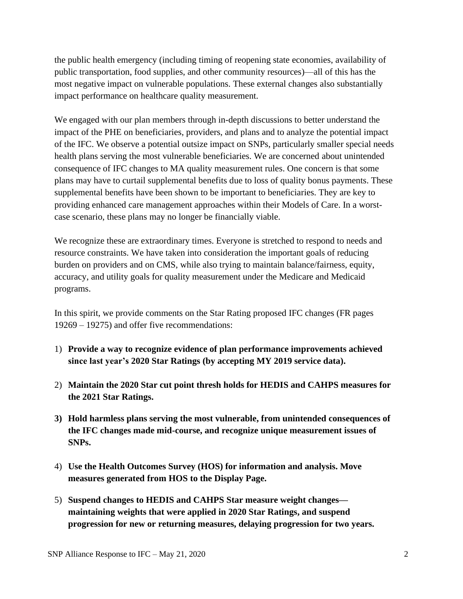the public health emergency (including timing of reopening state economies, availability of public transportation, food supplies, and other community resources)—all of this has the most negative impact on vulnerable populations. These external changes also substantially impact performance on healthcare quality measurement.

We engaged with our plan members through in-depth discussions to better understand the impact of the PHE on beneficiaries, providers, and plans and to analyze the potential impact of the IFC. We observe a potential outsize impact on SNPs, particularly smaller special needs health plans serving the most vulnerable beneficiaries. We are concerned about unintended consequence of IFC changes to MA quality measurement rules. One concern is that some plans may have to curtail supplemental benefits due to loss of quality bonus payments. These supplemental benefits have been shown to be important to beneficiaries. They are key to providing enhanced care management approaches within their Models of Care. In a worstcase scenario, these plans may no longer be financially viable.

We recognize these are extraordinary times. Everyone is stretched to respond to needs and resource constraints. We have taken into consideration the important goals of reducing burden on providers and on CMS, while also trying to maintain balance/fairness, equity, accuracy, and utility goals for quality measurement under the Medicare and Medicaid programs.

In this spirit, we provide comments on the Star Rating proposed IFC changes (FR pages 19269 – 19275) and offer five recommendations:

- 1) **Provide a way to recognize evidence of plan performance improvements achieved since last year's 2020 Star Ratings (by accepting MY 2019 service data).**
- 2) **Maintain the 2020 Star cut point thresh holds for HEDIS and CAHPS measures for the 2021 Star Ratings.**
- **3) Hold harmless plans serving the most vulnerable, from unintended consequences of the IFC changes made mid-course, and recognize unique measurement issues of SNPs.**
- 4) **Use the Health Outcomes Survey (HOS) for information and analysis. Move measures generated from HOS to the Display Page.**
- 5) **Suspend changes to HEDIS and CAHPS Star measure weight changes maintaining weights that were applied in 2020 Star Ratings, and suspend progression for new or returning measures, delaying progression for two years.**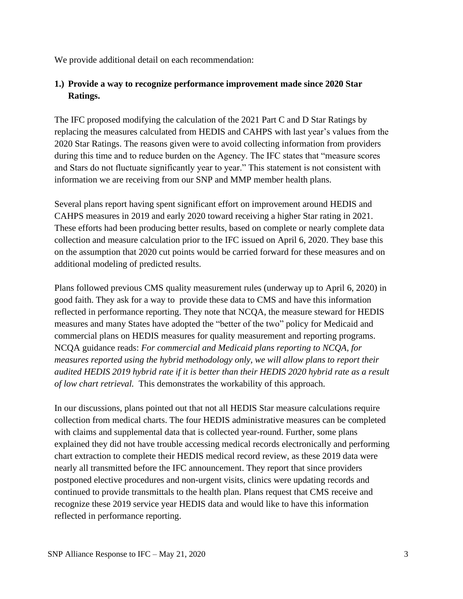We provide additional detail on each recommendation:

### **1.) Provide a way to recognize performance improvement made since 2020 Star Ratings.**

The IFC proposed modifying the calculation of the 2021 Part C and D Star Ratings by replacing the measures calculated from HEDIS and CAHPS with last year's values from the 2020 Star Ratings. The reasons given were to avoid collecting information from providers during this time and to reduce burden on the Agency. The IFC states that "measure scores and Stars do not fluctuate significantly year to year." This statement is not consistent with information we are receiving from our SNP and MMP member health plans.

Several plans report having spent significant effort on improvement around HEDIS and CAHPS measures in 2019 and early 2020 toward receiving a higher Star rating in 2021. These efforts had been producing better results, based on complete or nearly complete data collection and measure calculation prior to the IFC issued on April 6, 2020. They base this on the assumption that 2020 cut points would be carried forward for these measures and on additional modeling of predicted results.

Plans followed previous CMS quality measurement rules (underway up to April 6, 2020) in good faith. They ask for a way to provide these data to CMS and have this information reflected in performance reporting. They note that NCQA, the measure steward for HEDIS measures and many States have adopted the "better of the two" policy for Medicaid and commercial plans on HEDIS measures for quality measurement and reporting programs. NCQA guidance reads: *For commercial and Medicaid plans reporting to NCQA, for measures reported using the hybrid methodology only, we will allow plans to report their audited HEDIS 2019 hybrid rate if it is better than their HEDIS 2020 hybrid rate as a result of low chart retrieval.* This demonstrates the workability of this approach.

In our discussions, plans pointed out that not all HEDIS Star measure calculations require collection from medical charts. The four HEDIS administrative measures can be completed with claims and supplemental data that is collected year-round. Further, some plans explained they did not have trouble accessing medical records electronically and performing chart extraction to complete their HEDIS medical record review, as these 2019 data were nearly all transmitted before the IFC announcement. They report that since providers postponed elective procedures and non-urgent visits, clinics were updating records and continued to provide transmittals to the health plan. Plans request that CMS receive and recognize these 2019 service year HEDIS data and would like to have this information reflected in performance reporting.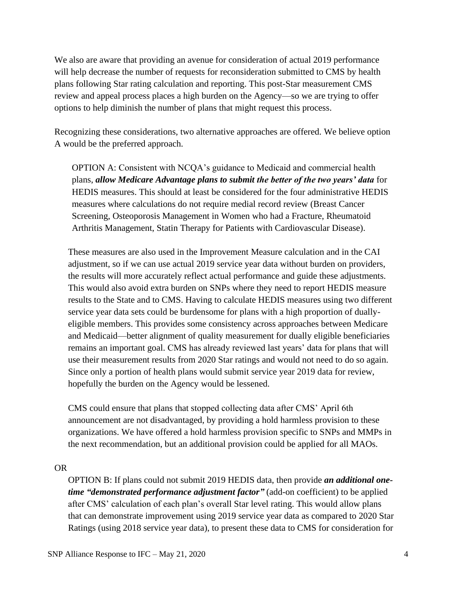We also are aware that providing an avenue for consideration of actual 2019 performance will help decrease the number of requests for reconsideration submitted to CMS by health plans following Star rating calculation and reporting. This post-Star measurement CMS review and appeal process places a high burden on the Agency—so we are trying to offer options to help diminish the number of plans that might request this process.

Recognizing these considerations, two alternative approaches are offered. We believe option A would be the preferred approach.

OPTION A: Consistent with NCQA's guidance to Medicaid and commercial health plans, *allow Medicare Advantage plans to submit the better of the two years' data* for HEDIS measures. This should at least be considered for the four administrative HEDIS measures where calculations do not require medial record review (Breast Cancer Screening, Osteoporosis Management in Women who had a Fracture, Rheumatoid Arthritis Management, Statin Therapy for Patients with Cardiovascular Disease).

These measures are also used in the Improvement Measure calculation and in the CAI adjustment, so if we can use actual 2019 service year data without burden on providers, the results will more accurately reflect actual performance and guide these adjustments. This would also avoid extra burden on SNPs where they need to report HEDIS measure results to the State and to CMS. Having to calculate HEDIS measures using two different service year data sets could be burdensome for plans with a high proportion of duallyeligible members. This provides some consistency across approaches between Medicare and Medicaid—better alignment of quality measurement for dually eligible beneficiaries remains an important goal. CMS has already reviewed last years' data for plans that will use their measurement results from 2020 Star ratings and would not need to do so again. Since only a portion of health plans would submit service year 2019 data for review, hopefully the burden on the Agency would be lessened.

CMS could ensure that plans that stopped collecting data after CMS' April 6th announcement are not disadvantaged, by providing a hold harmless provision to these organizations. We have offered a hold harmless provision specific to SNPs and MMPs in the next recommendation, but an additional provision could be applied for all MAOs.

OR

OPTION B: If plans could not submit 2019 HEDIS data, then provide *an additional onetime "demonstrated performance adjustment factor"* (add-on coefficient) to be applied after CMS' calculation of each plan's overall Star level rating. This would allow plans that can demonstrate improvement using 2019 service year data as compared to 2020 Star Ratings (using 2018 service year data), to present these data to CMS for consideration for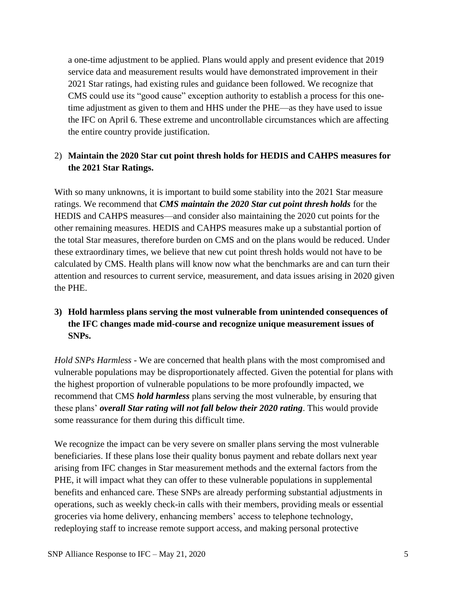a one-time adjustment to be applied. Plans would apply and present evidence that 2019 service data and measurement results would have demonstrated improvement in their 2021 Star ratings, had existing rules and guidance been followed. We recognize that CMS could use its "good cause" exception authority to establish a process for this onetime adjustment as given to them and HHS under the PHE—as they have used to issue the IFC on April 6. These extreme and uncontrollable circumstances which are affecting the entire country provide justification.

### 2) **Maintain the 2020 Star cut point thresh holds for HEDIS and CAHPS measures for the 2021 Star Ratings.**

With so many unknowns, it is important to build some stability into the 2021 Star measure ratings. We recommend that *CMS maintain the 2020 Star cut point thresh holds* for the HEDIS and CAHPS measures—and consider also maintaining the 2020 cut points for the other remaining measures. HEDIS and CAHPS measures make up a substantial portion of the total Star measures, therefore burden on CMS and on the plans would be reduced. Under these extraordinary times, we believe that new cut point thresh holds would not have to be calculated by CMS. Health plans will know now what the benchmarks are and can turn their attention and resources to current service, measurement, and data issues arising in 2020 given the PHE.

# **3) Hold harmless plans serving the most vulnerable from unintended consequences of the IFC changes made mid-course and recognize unique measurement issues of SNPs.**

*Hold SNPs Harmless -* We are concerned that health plans with the most compromised and vulnerable populations may be disproportionately affected. Given the potential for plans with the highest proportion of vulnerable populations to be more profoundly impacted, we recommend that CMS *hold harmless* plans serving the most vulnerable, by ensuring that these plans' *overall Star rating will not fall below their 2020 rating*. This would provide some reassurance for them during this difficult time.

We recognize the impact can be very severe on smaller plans serving the most vulnerable beneficiaries. If these plans lose their quality bonus payment and rebate dollars next year arising from IFC changes in Star measurement methods and the external factors from the PHE, it will impact what they can offer to these vulnerable populations in supplemental benefits and enhanced care. These SNPs are already performing substantial adjustments in operations, such as weekly check-in calls with their members, providing meals or essential groceries via home delivery, enhancing members' access to telephone technology, redeploying staff to increase remote support access, and making personal protective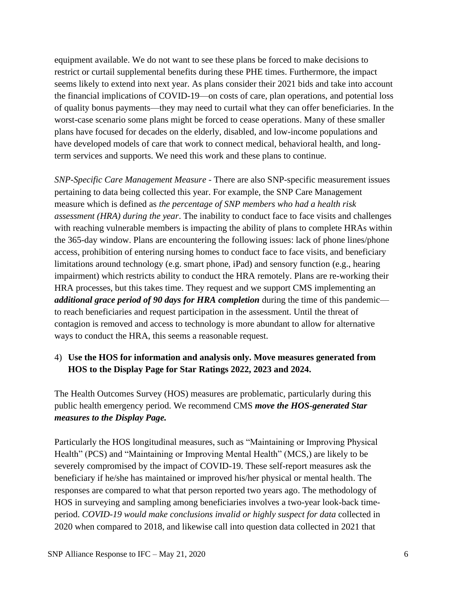equipment available. We do not want to see these plans be forced to make decisions to restrict or curtail supplemental benefits during these PHE times. Furthermore, the impact seems likely to extend into next year. As plans consider their 2021 bids and take into account the financial implications of COVID-19—on costs of care, plan operations, and potential loss of quality bonus payments—they may need to curtail what they can offer beneficiaries. In the worst-case scenario some plans might be forced to cease operations. Many of these smaller plans have focused for decades on the elderly, disabled, and low-income populations and have developed models of care that work to connect medical, behavioral health, and longterm services and supports. We need this work and these plans to continue.

*SNP-Specific Care Management Measure -* There are also SNP-specific measurement issues pertaining to data being collected this year. For example, the SNP Care Management measure which is defined as *the percentage of SNP members who had a health risk assessment (HRA) during the year*. The inability to conduct face to face visits and challenges with reaching vulnerable members is impacting the ability of plans to complete HRAs within the 365-day window. Plans are encountering the following issues: lack of phone lines/phone access, prohibition of entering nursing homes to conduct face to face visits, and beneficiary limitations around technology (e.g. smart phone, iPad) and sensory function (e.g., hearing impairment) which restricts ability to conduct the HRA remotely. Plans are re-working their HRA processes, but this takes time. They request and we support CMS implementing an *additional grace period of 90 days for HRA completion* during the time of this pandemic to reach beneficiaries and request participation in the assessment. Until the threat of contagion is removed and access to technology is more abundant to allow for alternative ways to conduct the HRA, this seems a reasonable request.

### 4) **Use the HOS for information and analysis only. Move measures generated from HOS to the Display Page for Star Ratings 2022, 2023 and 2024.**

The Health Outcomes Survey (HOS) measures are problematic, particularly during this public health emergency period. We recommend CMS *move the HOS-generated Star measures to the Display Page.* 

Particularly the HOS longitudinal measures, such as "Maintaining or Improving Physical Health" (PCS) and "Maintaining or Improving Mental Health" (MCS,) are likely to be severely compromised by the impact of COVID-19. These self-report measures ask the beneficiary if he/she has maintained or improved his/her physical or mental health. The responses are compared to what that person reported two years ago. The methodology of HOS in surveying and sampling among beneficiaries involves a two-year look-back timeperiod. *COVID-19 would make conclusions invalid or highly suspect for data* collected in 2020 when compared to 2018, and likewise call into question data collected in 2021 that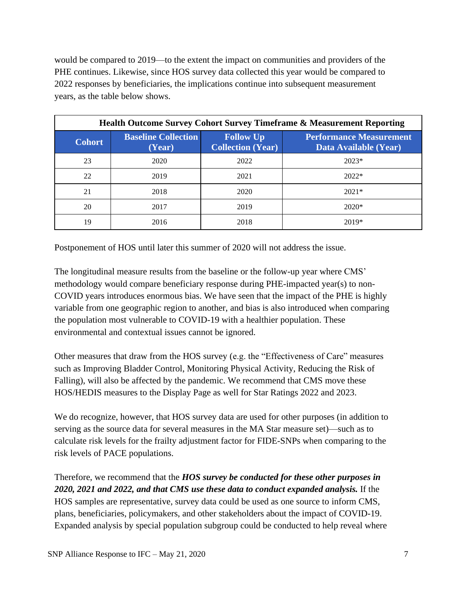would be compared to 2019—to the extent the impact on communities and providers of the PHE continues. Likewise, since HOS survey data collected this year would be compared to 2022 responses by beneficiaries, the implications continue into subsequent measurement years, as the table below shows.

| <b>Health Outcome Survey Cohort Survey Timeframe &amp; Measurement Reporting</b> |                                      |                                              |                                                         |
|----------------------------------------------------------------------------------|--------------------------------------|----------------------------------------------|---------------------------------------------------------|
| <b>Cohort</b>                                                                    | <b>Baseline Collection</b><br>(Year) | <b>Follow Up</b><br><b>Collection (Year)</b> | <b>Performance Measurement</b><br>Data Available (Year) |
| 23                                                                               | 2020                                 | 2022                                         | $2023*$                                                 |
| 22                                                                               | 2019                                 | 2021                                         | $2022*$                                                 |
| 21                                                                               | 2018                                 | 2020                                         | $2021*$                                                 |
| 20                                                                               | 2017                                 | 2019                                         | $2020*$                                                 |
| 19                                                                               | 2016                                 | 2018                                         | 2019*                                                   |

Postponement of HOS until later this summer of 2020 will not address the issue.

The longitudinal measure results from the baseline or the follow-up year where CMS' methodology would compare beneficiary response during PHE-impacted year(s) to non-COVID years introduces enormous bias. We have seen that the impact of the PHE is highly variable from one geographic region to another, and bias is also introduced when comparing the population most vulnerable to COVID-19 with a healthier population. These environmental and contextual issues cannot be ignored.

Other measures that draw from the HOS survey (e.g. the "Effectiveness of Care" measures such as Improving Bladder Control, Monitoring Physical Activity, Reducing the Risk of Falling), will also be affected by the pandemic. We recommend that CMS move these HOS/HEDIS measures to the Display Page as well for Star Ratings 2022 and 2023.

We do recognize, however, that HOS survey data are used for other purposes (in addition to serving as the source data for several measures in the MA Star measure set)—such as to calculate risk levels for the frailty adjustment factor for FIDE-SNPs when comparing to the risk levels of PACE populations.

Therefore, we recommend that the *HOS survey be conducted for these other purposes in 2020, 2021 and 2022, and that CMS use these data to conduct expanded analysis.* If the HOS samples are representative, survey data could be used as one source to inform CMS, plans, beneficiaries, policymakers, and other stakeholders about the impact of COVID-19. Expanded analysis by special population subgroup could be conducted to help reveal where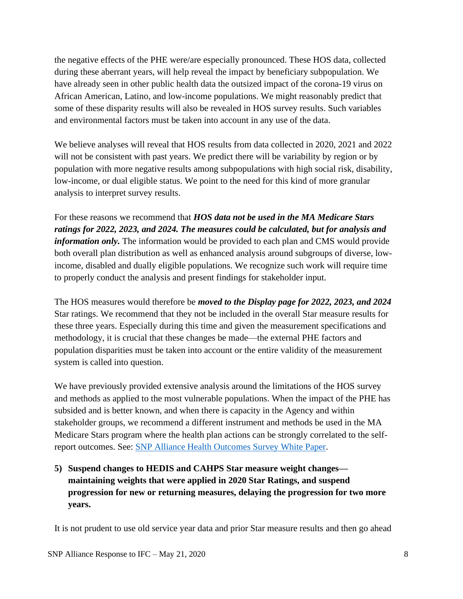the negative effects of the PHE were/are especially pronounced. These HOS data, collected during these aberrant years, will help reveal the impact by beneficiary subpopulation. We have already seen in other public health data the outsized impact of the corona-19 virus on African American, Latino, and low-income populations. We might reasonably predict that some of these disparity results will also be revealed in HOS survey results. Such variables and environmental factors must be taken into account in any use of the data.

We believe analyses will reveal that HOS results from data collected in 2020, 2021 and 2022 will not be consistent with past years. We predict there will be variability by region or by population with more negative results among subpopulations with high social risk, disability, low-income, or dual eligible status. We point to the need for this kind of more granular analysis to interpret survey results.

For these reasons we recommend that *HOS data not be used in the MA Medicare Stars ratings for 2022, 2023, and 2024. The measures could be calculated, but for analysis and information only.* The information would be provided to each plan and CMS would provide both overall plan distribution as well as enhanced analysis around subgroups of diverse, lowincome, disabled and dually eligible populations. We recognize such work will require time to properly conduct the analysis and present findings for stakeholder input.

The HOS measures would therefore be *moved to the Display page for 2022, 2023, and 2024* Star ratings. We recommend that they not be included in the overall Star measure results for these three years. Especially during this time and given the measurement specifications and methodology, it is crucial that these changes be made—the external PHE factors and population disparities must be taken into account or the entire validity of the measurement system is called into question.

We have previously provided extensive analysis around the limitations of the HOS survey and methods as applied to the most vulnerable populations. When the impact of the PHE has subsided and is better known, and when there is capacity in the Agency and within stakeholder groups, we recommend a different instrument and methods be used in the MA Medicare Stars program where the health plan actions can be strongly correlated to the selfreport outcomes. See: [SNP Alliance Health Outcomes Survey White Paper.](http://snpalliance.org/media/1277/snpa-paone-hos-white-paper-final-dec-2018.pdf)

**5) Suspend changes to HEDIS and CAHPS Star measure weight changes maintaining weights that were applied in 2020 Star Ratings, and suspend progression for new or returning measures, delaying the progression for two more years.**

It is not prudent to use old service year data and prior Star measure results and then go ahead